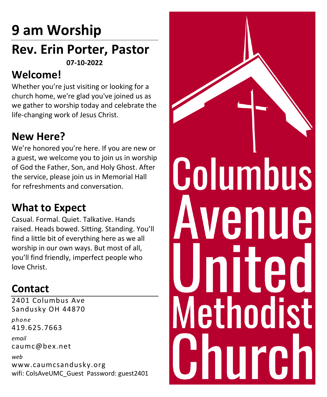# **9 am Worship**

### **Rev. Erin Porter, Pastor 07-10-2022**

### **Welcome!**

Whether you're just visiting or looking for a church home, we're glad you've joined us as we gather to worship today and celebrate the life-changing work of Jesus Christ.

## **New Here?**

We're honored you're here. If you are new or a guest, we welcome you to join us in worship of God the Father, Son, and Holy Ghost. After the service, please join us in Memorial Hall for refreshments and conversation.

### **What to Expect**

Casual. Formal. Quiet. Talkative. Hands raised. Heads bowed. Sitting. Standing. You'll find a little bit of everything here as we all worship in our own ways. But most of all, you'll find friendly, imperfect people who love Christ.

## **Contact**

2401 Columbus Ave Sandusky OH 44870 *phone* 419.625.7663 *email* caumc@bex.net *web*  www.caumcsandusky.org wifi: ColsAveUMC\_Guest Password: guest2401

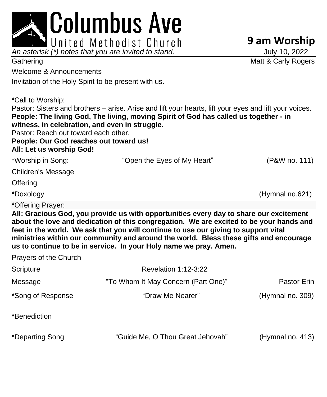|                                                                                                                                                                                                                                                                                                                                                                                                                                                             | Columbus Ave                                                                                                                                                                                   |                     |
|-------------------------------------------------------------------------------------------------------------------------------------------------------------------------------------------------------------------------------------------------------------------------------------------------------------------------------------------------------------------------------------------------------------------------------------------------------------|------------------------------------------------------------------------------------------------------------------------------------------------------------------------------------------------|---------------------|
|                                                                                                                                                                                                                                                                                                                                                                                                                                                             | United Methodist Church                                                                                                                                                                        | 9 am Worship        |
| An asterisk (*) notes that you are invited to stand.                                                                                                                                                                                                                                                                                                                                                                                                        |                                                                                                                                                                                                | July 10, 2022       |
| Gathering                                                                                                                                                                                                                                                                                                                                                                                                                                                   |                                                                                                                                                                                                | Matt & Carly Rogers |
| Welcome & Announcements                                                                                                                                                                                                                                                                                                                                                                                                                                     |                                                                                                                                                                                                |                     |
| Invitation of the Holy Spirit to be present with us.                                                                                                                                                                                                                                                                                                                                                                                                        |                                                                                                                                                                                                |                     |
| *Call to Worship:<br>witness, in celebration, and even in struggle.<br>Pastor: Reach out toward each other.<br>People: Our God reaches out toward us!<br>All: Let us worship God!                                                                                                                                                                                                                                                                           | Pastor: Sisters and brothers – arise. Arise and lift your hearts, lift your eyes and lift your voices.<br>People: The living God, The living, moving Spirit of God has called us together - in |                     |
| *Worship in Song:                                                                                                                                                                                                                                                                                                                                                                                                                                           | "Open the Eyes of My Heart"                                                                                                                                                                    | (P&W no. 111)       |
| <b>Children's Message</b>                                                                                                                                                                                                                                                                                                                                                                                                                                   |                                                                                                                                                                                                |                     |
| Offering                                                                                                                                                                                                                                                                                                                                                                                                                                                    |                                                                                                                                                                                                |                     |
| *Doxology                                                                                                                                                                                                                                                                                                                                                                                                                                                   |                                                                                                                                                                                                | (Hymnal no.621)     |
| *Offering Prayer:<br>All: Gracious God, you provide us with opportunities every day to share our excitement<br>about the love and dedication of this congregation. We are excited to be your hands and<br>feet in the world. We ask that you will continue to use our giving to support vital<br>ministries within our community and around the world. Bless these gifts and encourage<br>us to continue to be in service. In your Holy name we pray. Amen. |                                                                                                                                                                                                |                     |
| Prayers of the Church                                                                                                                                                                                                                                                                                                                                                                                                                                       |                                                                                                                                                                                                |                     |
| Scripture                                                                                                                                                                                                                                                                                                                                                                                                                                                   | <b>Revelation 1:12-3:22</b>                                                                                                                                                                    |                     |
| Message                                                                                                                                                                                                                                                                                                                                                                                                                                                     | "To Whom It May Concern (Part One)"                                                                                                                                                            | Pastor Erin         |
| *Song of Response                                                                                                                                                                                                                                                                                                                                                                                                                                           | "Draw Me Nearer"                                                                                                                                                                               | (Hymnal no. 309)    |
| *Benediction                                                                                                                                                                                                                                                                                                                                                                                                                                                |                                                                                                                                                                                                |                     |
| *Departing Song                                                                                                                                                                                                                                                                                                                                                                                                                                             | "Guide Me, O Thou Great Jehovah"                                                                                                                                                               | (Hymnal no. 413)    |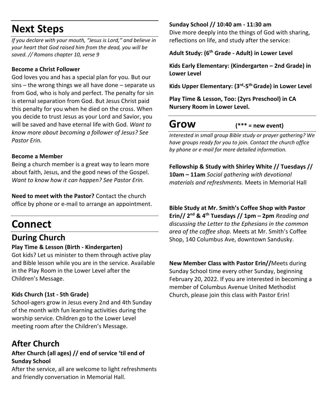### **Next Steps**

*If you declare with your mouth, "Jesus is Lord," and believe in your heart that God raised him from the dead, you will be saved. // Romans chapter 10, verse 9*

#### **Become a Christ Follower**

God loves you and has a special plan for you. But our sins – the wrong things we all have done – separate us from God, who is holy and perfect. The penalty for sin is eternal separation from God. But Jesus Christ paid this penalty for you when he died on the cross. When you decide to trust Jesus as your Lord and Savior, you will be saved and have eternal life with God. *Want to know more about becoming a follower of Jesus? See Pastor Erin.*

#### **Become a Member**

Being a church member is a great way to learn more about faith, Jesus, and the good news of the Gospel. *Want to know how it can happen? See Pastor Erin.*

**Need to meet with the Pastor?** Contact the church office by phone or e-mail to arrange an appointment.

### **Connect**

### **During Church**

#### **Play Time & Lesson (Birth - Kindergarten)**

Got kids? Let us minister to them through active play and Bible lesson while you are in the service. Available in the Play Room in the Lower Level after the Children's Message.

#### **Kids Church (1st - 5th Grade)**

School-agers grow in Jesus every 2nd and 4th Sunday of the month with fun learning activities during the worship service. Children go to the Lower Level meeting room after the Children's Message.

### **After Church**

#### **After Church (all ages) // end of service 'til end of Sunday School**

After the service, all are welcome to light refreshments and friendly conversation in Memorial Hall.

#### **Sunday School // 10:40 am - 11:30 am**

Dive more deeply into the things of God with sharing, reflections on life, and study after the service:

**Adult Study: (6th Grade - Adult) in Lower Level**

**Kids Early Elementary: (Kindergarten – 2nd Grade) in Lower Level**

**Kids Upper Elementary: (3rd -5 thGrade) in Lower Level**

**Play Time & Lesson, Too: (2yrs Preschool) in CA Nursery Room in Lower Level.**

**Grow (\*\*\* = new event)**

*Interested in small group Bible study or prayer gathering? We have groups ready for you to join. Contact the church office by phone or e-mail for more detailed information.*

**Fellowship & Study with Shirley White // Tuesdays // 10am – 11am** *Social gathering with devotional materials and refreshments.* Meets in Memorial Hall

**Bible Study at Mr. Smith's Coffee Shop with Pastor Erin// 2nd & 4th Tuesdays // 1pm – 2pm** *Reading and discussing the Letter to the Ephesians in the common area of the coffee shop.* Meets at Mr. Smith's Coffee Shop, 140 Columbus Ave, downtown Sandusky.

**New Member Class with Pastor Erin//**Meets during Sunday School time every other Sunday, beginning February 20, 2022. If you are interested in becoming a member of Columbus Avenue United Methodist Church, please join this class with Pastor Erin!